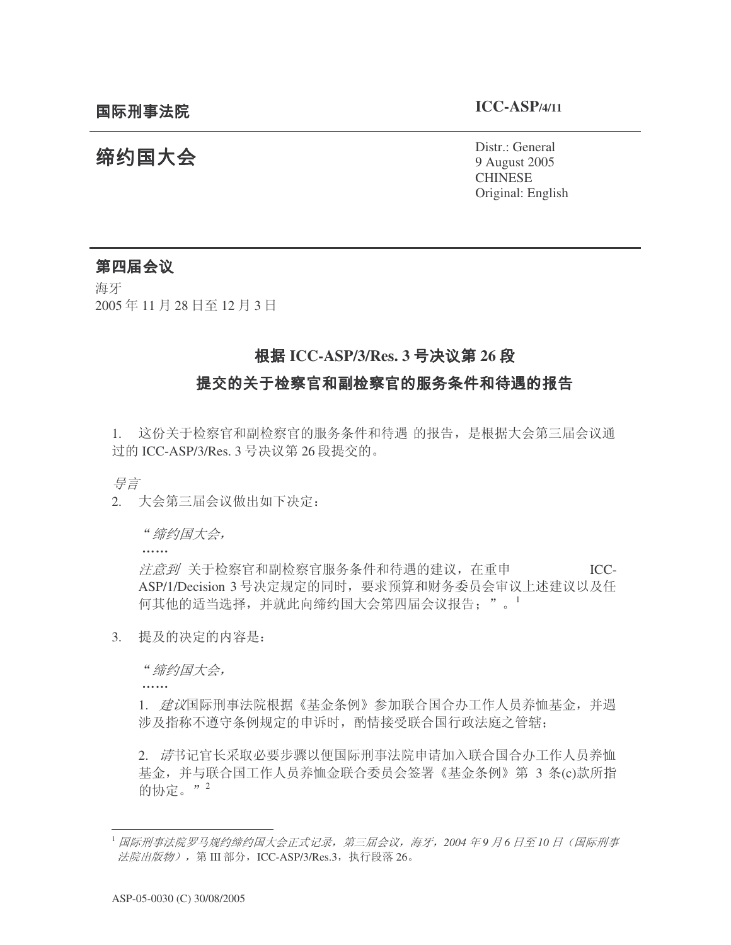# 缔约国大会

Distr.: General 9 August 2005 CHINESE Original: English

### 第四届会议

海牙 2005年11月28日至12月3日

## **根据 ICC-ASP/3/Res. 3 号决议第 26 段**

#### 提交的关于检察官和副检察官的服务条件和待遇的报告

1. 这份关于检察官和副检察官的服务条件和待遇 的报告, 是根据大会第三届会议通 过的 ICC-ASP/3/Res. 3 号决议第 26 段提交的。

异言

2. 大会第三届会议做出如下决定:

"缔约国大会,

dia a a a a

. . . . . .

注意到 关于检察官和副检察官服务条件和待遇的建议, 在重申 Ⅰ **ICC-**ASP/1/Decision 3 号决定规定的同时, 要求预算和财务委员会审议上述建议以及任 何其他的适当选择,并就此向缔约国大会第四届会议报告:"。1

3. 提及的决定的内容是:

"缔约国大会,

1. 建议国际刑事法院根据《基金条例》参加联合国合办工作人员养恤基金, 并遇 涉及指称不遵守条例规定的申诉时, 酌情接受联合国行政法庭之管辖;

2. 请书记官长采取必要步骤以便国际刑事法院申请加入联合国合办工作人员养恤 基金, 并与联合国工作人员养恤金联合委员会签署《基金条例》第 3 条(c)款所指 的协定。" $^2$ 

<sup>1</sup> 国际刑事法院罗马规约缔约国大会正式记录,第三届会议,海牙,2004 年9 月6 日至10 日(国际刑事 法院出版物), 第 III 部分, ICC-ASP/3/Res.3, 执行段落 26。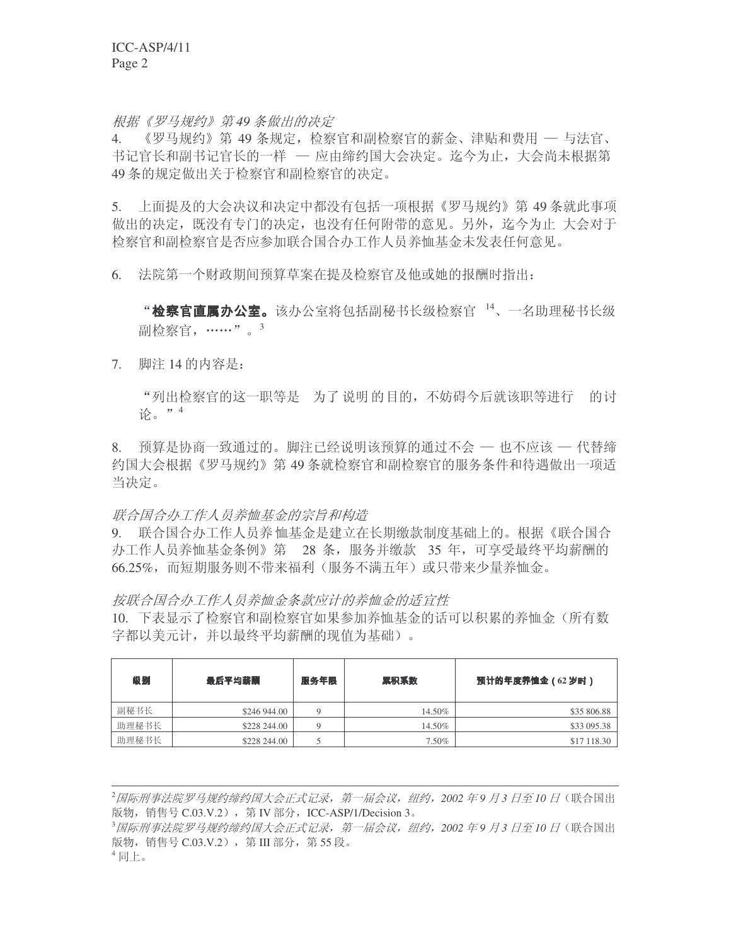根据《罗马规约》第49 条做出的决定

4. 《罗马规约》第49 条规定, 检察官和副检察官的薪金、津贴和费用 一 与法官、 书记官长和副书记官长的一样 — 应由缔约国大会决定。迄今为止, 大会尚未根据第 49 条的规定做出关于检察官和副检察官的决定。

5. 上面提及的大会决议和决定中都没有包括一项根据《罗马规约》第49条就此事项 做出的决定, 既没有专门的决定, 也没有任何附带的意见。另外, 迄今为止 大会对于 检察官和副检察官是否应参加联合国合办工作人员养恤基金未发表任何意见。

6. 法院第一个财政期间预算草案在提及检察官及他或她的报酬时指出:

"检察官直属办公室。该办公室将包括副秘书长级检察官<sup>14</sup>、一名助理秘书长级 副检察官, ……"。<sup>3</sup>

7. 脚注 14 的内容是:

"列出检察官的这一职等是一为了说明的目的,不妨碍今后就该职等进行一的讨 论。"4

8. 预算是协商一致通过的。脚注已经说明该预算的通过不会 一 也不应该 一 代替缔 约国大会根据《罗马规约》第 49 条就检察官和副检察官的服务条件和待遇做出一项适 当决定。

联合国合办工作人员养恤基金的宗旨和构造

9. 联合国合办工作人员养恤基金是建立在长期缴款制度基础上的。根据《联合国合 办工作人员养恤基金条例》第 28 条,服务并缴款 35 年,可享受最终平均薪酬的 66.25%,而短期服务则不带来福利(服务不满五年)或只带来少量养恤金。

按联合国合办工作人员养恤金条款应计的养恤金的适宜性

10. 下表显示了检察官和副检察官如果参加养恤基金的话可以积累的养恤金(所有数 字都以美元计,并以最终平均薪酬的现值为基础)。

| 级别    | 最后平均薪酬       | 服务年限 | 累积系数   | 预计的年度养恤金 (62岁时) |  |  |
|-------|--------------|------|--------|-----------------|--|--|
| 副秘书长  | \$246 944,00 | Q    | 14.50% | \$35 806.88     |  |  |
| 助理秘书长 | \$228 244,00 |      | 14.50% | \$33 095.38     |  |  |
| 助理秘书长 | \$228 244,00 |      | 7.50%  | \$17 118.30     |  |  |

<sup>2</sup>固际刑事法院罗马规约缔约国大会正式记录,第一届会议,纽约,2002年9月3日至10日(联合国出 版物, 销售号 C.03.V.2), 第 IV 部分, ICC-ASP/1/Decision 3。 <sup>3</sup>国际刑事法院罗马规约缔约国大会正式记录,第一届会议,纽约,2002 年9 月3 日至10 日(联合国出 版物, 销售号 C.03.V.2), 第 III 部分, 第 55 段。  $4$ 同上。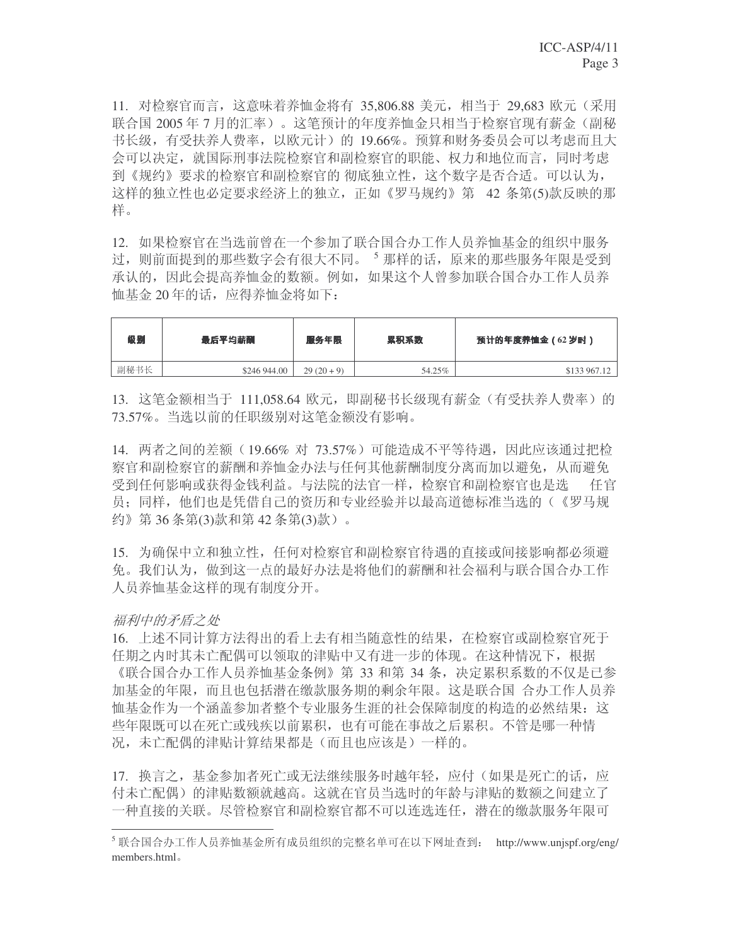11. 对检察官而言, 这意味着养恤金将有 35,806.88 美元, 相当于 29,683 欧元 (采用 联合国 2005年7月的汇率)。这笔预计的年度养恤金只相当于检察官现有薪金(副秘 书长级,有受扶养人费率,以欧元计)的 19.66%。 预算和财务委员会可以考虑而且大 会可以决定, 就国际刑事法院检察官和副检察官的职能、权力和地位而言, 同时考虑 到《规约》要求的检察官和副检察官的 彻底独立性,这个数字是否合适。可以认为, 这样的独立性也必定要求经济上的独立,正如《罗马规约》第 42 条第(5)款反映的那 样。

12. 如果检察官在当选前曾在一个参加了联合国合办工作人员养恤基金的组织中服务 过, 则前面提到的那些数字会有很大不同。<sup>5</sup> 那样的话, 原来的那些服务年限是受到 承认的,因此会提高养恤金的数额。例如,如果这个人曾参加联合国合办工作人员养 恤基金 20 年的话, 应得养恤金将如下:

| 级别   | 最后平均薪酬       | 服务年限       | 累积系数   | 预计的年度养恤金(62 岁时) |  |
|------|--------------|------------|--------|-----------------|--|
| 副秘书长 | \$246 944,00 | $29(20+9)$ | 54.25% | \$133 967.12    |  |

13. 这笔金额相当于 111,058.64 欧元,即副秘书长级现有薪金(有受扶养人费率)的 73.57%。当选以前的任职级别对这笔金额没有影响。

14. 两者之间的差额 (19.66% 对 73.57%) 可能造成不平等待遇, 因此应该通过把检 察官和副检察官的薪酬和养恤金办法与任何其他薪酬制度分离而加以避免,从而避免 受到任何影响或获得金钱利益。与法院的法官一样, 检察官和副检察官也是选 任官 员: 同样, 他们也是凭借自己的资历和专业经验并以最高道德标准当选的(《罗马规 约》第36条第(3)款和第42条第(3)款)。

15. 为确保中立和独立性, 任何对检察官和副检察官待遇的直接或间接影响都必须避 免。我们认为, 做到这一点的最好办法是将他们的薪酬和社会福利与联合国合办工作 人员养恤基金这样的现有制度分开。

#### 福利中的矛盾之处

16. 上述不同计算方法得出的看上夫有相当随意性的结果, 在检察官或副检察官死于 任期之内时其未亡配偶可以领取的津贴中又有进一步的体现。在这种情况下,根据 《联合国合办工作人员养恤基金条例》第 33 和第 34 条, 决定累积系数的不仅是已参 加基金的年限,而且也包括潜在缴款服务期的剩余年限。这是联合国 合办工作人员养 恤基金作为一个涵盖参加者整个专业服务生涯的社会保障制度的构造的必然结果:这 些年限既可以在死亡或残疾以前累积,也有可能在事故之后累积。不管是哪一种情 况,未亡配偶的津贴计算结果都是(而且也应该是)一样的。

17. 换言之, 基金参加者死亡或无法继续服务时越年轻, 应付(如果是死亡的话, 应 付未亡配偶)的津贴数额就越高。这就在官员当选时的年龄与津贴的数额之间建立了 一种直接的关联。尽管检察官和副检察官都不可以连选连任,潜在的缴款服务年限可

 $^5$ 联合国合办工作人员养恤基金所有成员组织的完整名单可在以下网址查到: http://www.unjspf.org/eng/ members.html.